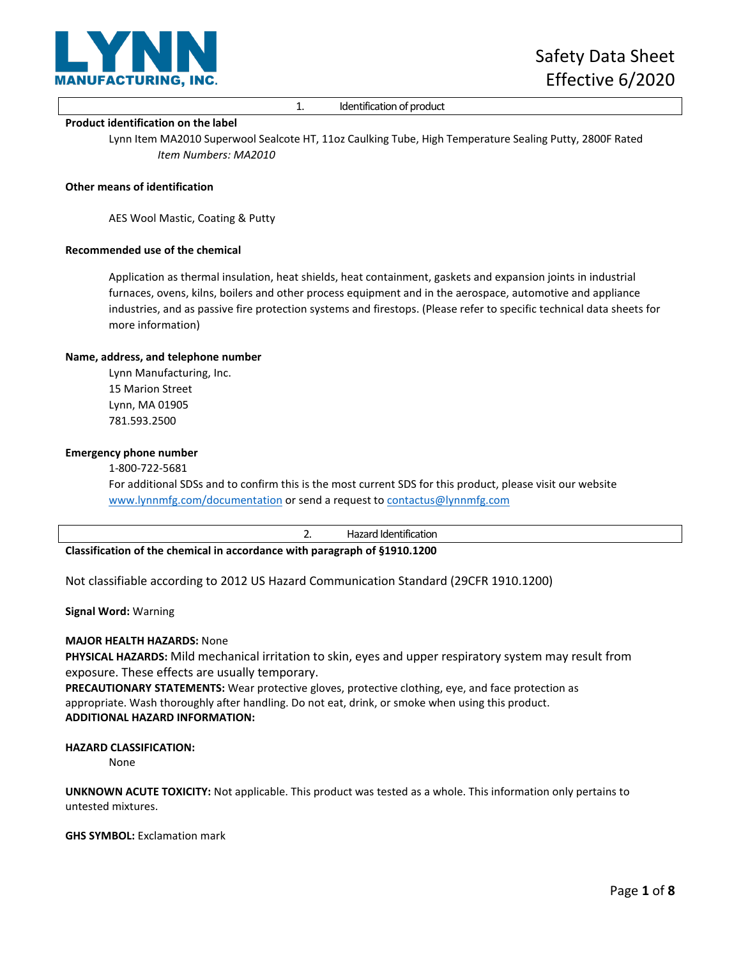

# 1. Identification of product

## **Product identification on the label**

Lynn Item MA2010 Superwool Sealcote HT, 11oz Caulking Tube, High Temperature Sealing Putty, 2800F Rated *Item Numbers: MA2010*

# **Other means of identification**

AES Wool Mastic, Coating & Putty

## **Recommended use of the chemical**

Application as thermal insulation, heat shields, heat containment, gaskets and expansion joints in industrial furnaces, ovens, kilns, boilers and other process equipment and in the aerospace, automotive and appliance industries, and as passive fire protection systems and firestops. (Please refer to specific technical data sheets for more information)

## **Name, address, and telephone number**

Lynn Manufacturing, Inc. 15 Marion Street Lynn, MA 01905 781.593.2500

# **Emergency phone number**

[1-800-722-5681](http://www.lynnmfg.com/documentation)

For additional SDSs and to confirm this is the most curr[ent SDS for this product, ple](mailto:contactus@lynnmfg.com)ase visit our website www.lynnmfg.com/documentation or send a request to contactus@lynnmfg.com

|                                                                           |  | Hazard Identification |
|---------------------------------------------------------------------------|--|-----------------------|
| Classification of the chemical in accordance with paragraph of §1910.1200 |  |                       |

Not classifiable according to 2012 US Hazard Communication Standard (29CFR 1910.1200)

**Signal Word:** Warning

# **MAJOR HEALTH HAZARDS:** None

**PHYSICAL HAZARDS:** Mild mechanical irritation to skin, eyes and upper respiratory system may result from exposure. These effects are usually temporary.

**PRECAUTIONARY STATEMENTS:** Wear protective gloves, protective clothing, eye, and face protection as appropriate. Wash thoroughly after handling. Do not eat, drink, or smoke when using this product. **ADDITIONAL HAZARD INFORMATION:**

# **HAZARD CLASSIFICATION:**

None

**UNKNOWN ACUTE TOXICITY:** Not applicable. This product was tested as a whole. This information only pertains to untested mixtures.

**GHS SYMBOL:** Exclamation mark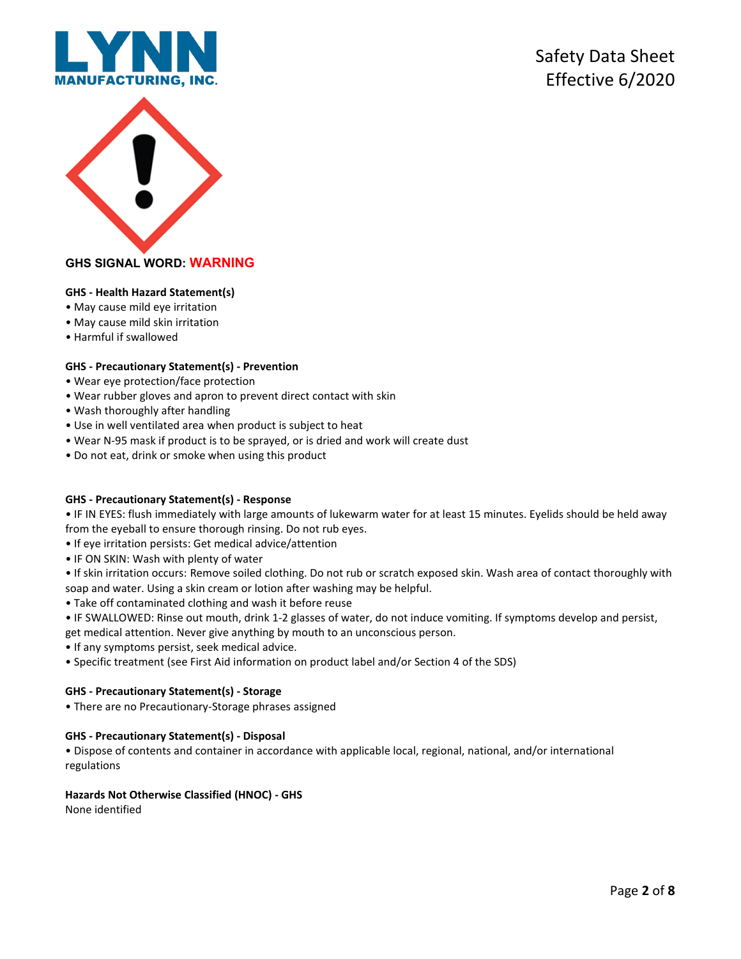



# **GHS SIGNAL WORD: WARNING**

# **GHS - Health Hazard Statement(s)**

- May cause mild eye irritation
- May cause mild skin irritation
- Harmful if swallowed

# **GHS - Precautionary Statement(s) - Prevention**

- Wear eye protection/face protection
- Wear rubber gloves and apron to prevent direct contact with skin
- Wash thoroughly after handling
- Use in well ventilated area when product is subject to heat
- Wear N-95 mask if product is to be sprayed, or is dried and work will create dust
- Do not eat, drink or smoke when using this product

# **GHS - Precautionary Statement(s) - Response**

• IF IN EYES: flush immediately with large amounts of lukewarm water for at least 15 minutes. Eyelids should be held away from the eyeball to ensure thorough rinsing. Do not rub eyes.

- If eye irritation persists: Get medical advice/attention
- IF ON SKIN: Wash with plenty of water
- If skin irritation occurs: Remove soiled clothing. Do not rub or scratch exposed skin. Wash area of contact thoroughly with soap and water. Using a skin cream or lotion after washing may be helpful.
- Take off contaminated clothing and wash it before reuse
- IF SWALLOWED: Rinse out mouth, drink 1-2 glasses of water, do not induce vomiting. If symptoms develop and persist, get medical attention. Never give anything by mouth to an unconscious person.
- If any symptoms persist, seek medical advice.
- Specific treatment (see First Aid information on product label and/or Section 4 of the SDS)

# **GHS - Precautionary Statement(s) - Storage**

• There are no Precautionary-Storage phrases assigned

# **GHS - Precautionary Statement(s) - Disposal**

• Dispose of contents and container in accordance with applicable local, regional, national, and/or international regulations

# **Hazards Not Otherwise Classified (HNOC) - GHS**

None identified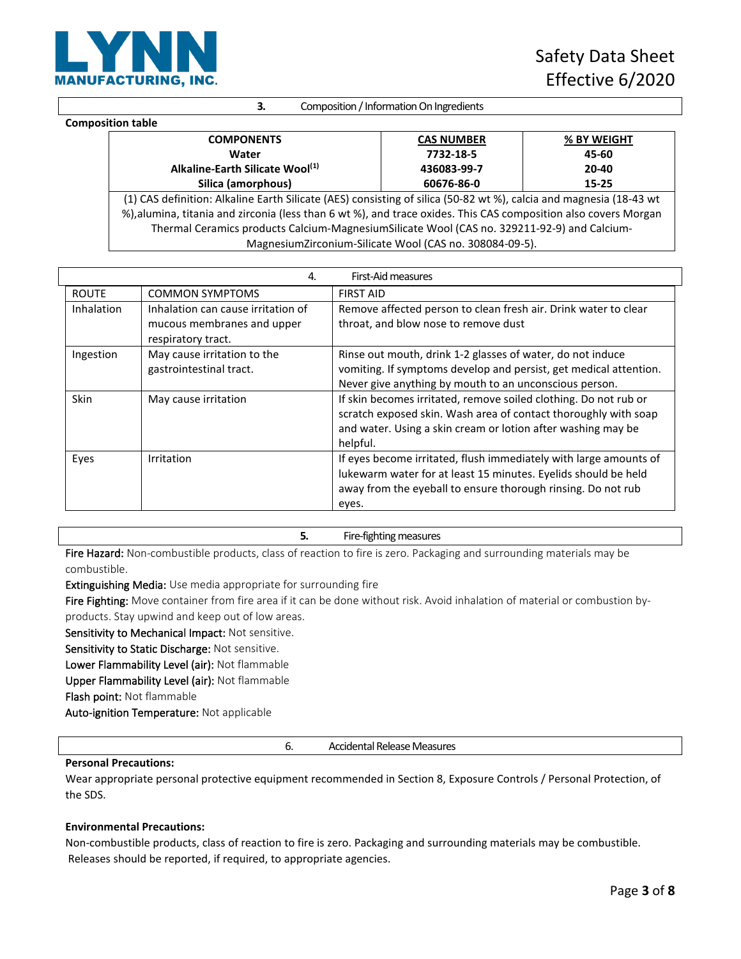

**3.** Composition / Information On Ingredients

#### **Composition table**

| <b>COMPONENTS</b>                                                                                                  | <b>CAS NUMBER</b> | % BY WEIGHT |
|--------------------------------------------------------------------------------------------------------------------|-------------------|-------------|
| Water                                                                                                              | 7732-18-5         | 45-60       |
| Alkaline-Earth Silicate Wool <sup>(1)</sup>                                                                        | 436083-99-7       | $20 - 40$   |
| Silica (amorphous)                                                                                                 | 60676-86-0        | 15-25       |
| (1) CAS definition: Alkaline Earth Silicate (AES) consisting of silica (50-82 wt %), calcia and magnesia (18-43 wt |                   |             |
| %), alumina, titania and zirconia (less than 6 wt %), and trace oxides. This CAS composition also covers Morgan    |                   |             |
| Thermal Ceramics products Calcium-MagnesiumSilicate Wool (CAS no. 329211-92-9) and Calcium-                        |                   |             |
| Magnesium Zirconium-Silicate Wool (CAS no. 308084-09-5).                                                           |                   |             |

| First-Aid measures<br>4. |                                                                                        |                                                                                                                                                                                                                 |
|--------------------------|----------------------------------------------------------------------------------------|-----------------------------------------------------------------------------------------------------------------------------------------------------------------------------------------------------------------|
| <b>ROUTE</b>             | <b>COMMON SYMPTOMS</b>                                                                 | <b>FIRST AID</b>                                                                                                                                                                                                |
| Inhalation               | Inhalation can cause irritation of<br>mucous membranes and upper<br>respiratory tract. | Remove affected person to clean fresh air. Drink water to clear<br>throat, and blow nose to remove dust                                                                                                         |
| Ingestion                | May cause irritation to the<br>gastrointestinal tract.                                 | Rinse out mouth, drink 1-2 glasses of water, do not induce<br>vomiting. If symptoms develop and persist, get medical attention.<br>Never give anything by mouth to an unconscious person.                       |
| Skin                     | May cause irritation                                                                   | If skin becomes irritated, remove soiled clothing. Do not rub or<br>scratch exposed skin. Wash area of contact thoroughly with soap<br>and water. Using a skin cream or lotion after washing may be<br>helpful. |
| Eyes                     | Irritation                                                                             | If eyes become irritated, flush immediately with large amounts of<br>lukewarm water for at least 15 minutes. Eyelids should be held<br>away from the eyeball to ensure thorough rinsing. Do not rub<br>eyes.    |

# **5.** Fire-fighting measures

Fire Hazard: Non-combustible products, class of reaction to fire is zero. Packaging and surrounding materials may be combustible.

Extinguishing Media: Use media appropriate for surrounding fire

Fire Fighting: Move container from fire area if it can be done without risk. Avoid inhalation of material or combustion by-

products. Stay upwind and keep out of low areas.

Sensitivity to Mechanical Impact: Not sensitive.

Sensitivity to Static Discharge: Not sensitive.

Lower Flammability Level (air): Not flammable

Upper Flammability Level (air): Not flammable

Flash point: Not flammable

Auto-ignition Temperature: Not applicable

6. Accidental Release Measures

# **Personal Precautions:**

Wear appropriate personal protective equipment recommended in Section 8, Exposure Controls / Personal Protection, of the SDS.

# **Environmental Precautions:**

Non-combustible products, class of reaction to fire is zero. Packaging and surrounding materials may be combustible. Releases should be reported, if required, to appropriate agencies.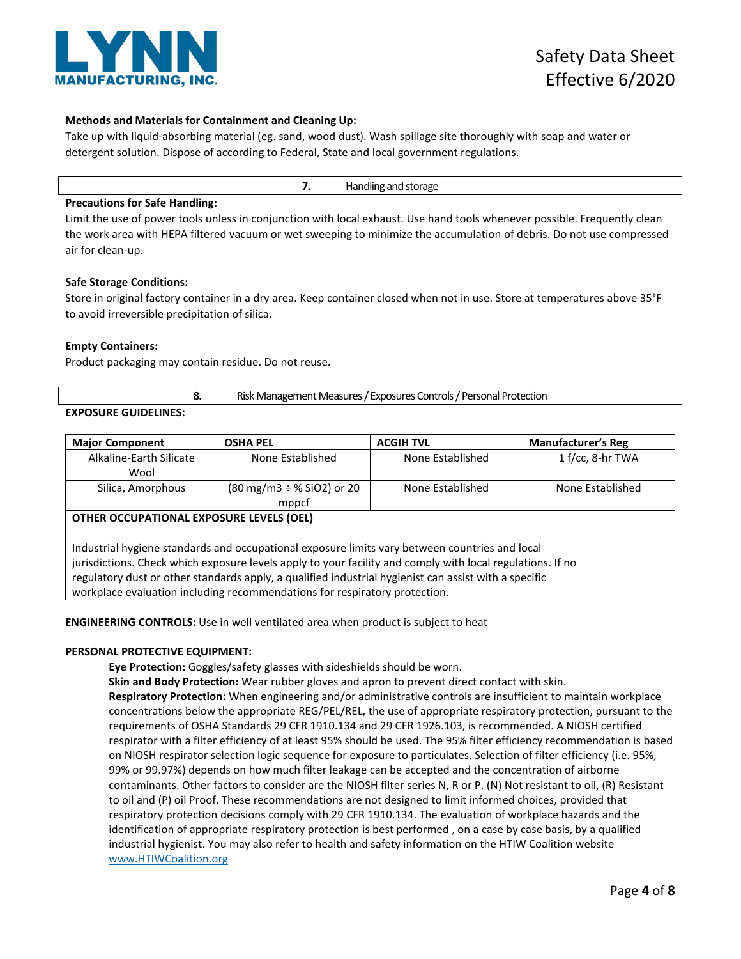

# **Methods and Materials for Containment and Cleaning Up:**

Take up with liquid-absorbing material (eg. sand, wood dust). Wash spillage site thoroughly with soap and water or detergent solution. Dispose of according to Federal, State and local government regulations.

| Handling<br>and storage:<br>. . |
|---------------------------------|
|---------------------------------|

# **Precautions for Safe Handling:**

Limit the use of power tools unless in conjunction with local exhaust. Use hand tools whenever possible. Frequently clean the work area with HEPA filtered vacuum or wet sweeping to minimize the accumulation of debris. Do not use compressed air for clean-up.

# **Safe Storage Conditions:**

Store in original factory container in a dry area. Keep container closed when not in use. Store at temperatures above 35°F to avoid irreversible precipitation of silica.

# **Empty Containers:**

Product packaging may contain residue. Do not reuse.

**8.** Risk Management Measures / Exposures Controls / Personal Protection

# **EXPOSURE GUIDELINES:**

| <b>Major Component</b>                                                                                                                                                                                                                                                                                                                                                                              | <b>OSHA PEL</b>                                         | <b>ACGIH TVL</b> | <b>Manufacturer's Reg</b> |
|-----------------------------------------------------------------------------------------------------------------------------------------------------------------------------------------------------------------------------------------------------------------------------------------------------------------------------------------------------------------------------------------------------|---------------------------------------------------------|------------------|---------------------------|
| Alkaline-Earth Silicate<br>Wool                                                                                                                                                                                                                                                                                                                                                                     | None Established                                        | None Established | $1 f/cc$ , 8-hr TWA       |
| Silica, Amorphous                                                                                                                                                                                                                                                                                                                                                                                   | $(80 \text{ mg/m3} \div \% \text{SiO2})$ or 20<br>mppcf | None Established | None Established          |
| OTHER OCCUPATIONAL EXPOSURE LEVELS (OEL)                                                                                                                                                                                                                                                                                                                                                            |                                                         |                  |                           |
| Industrial hygiene standards and occupational exposure limits vary between countries and local<br>jurisdictions. Check which exposure levels apply to your facility and comply with local regulations. If no<br>regulatory dust or other standards apply, a qualified industrial hygienist can assist with a specific<br>workplace evaluation including recommendations for respiratory protection. |                                                         |                  |                           |

**ENGINEERING CONTROLS:** Use in well ventilated area when product is subject to heat

# **PERSONAL PROTECTIVE EQUIPMENT:**

**Eye Protection:** Goggles/safety glasses with sideshields should be worn.

**Skin and Body Protection:** Wear rubber gloves and apron to prevent direct contact with skin. **Respiratory Protection:** When engineering and/or administrative controls are insufficient to maintain workplace concentrations below the appropriate REG/PEL/REL, the use of appropriate respiratory protection, pursuant to the requirements of OSHA Standards 29 CFR 1910.134 and 29 CFR 1926.103, is recommended. A NIOSH certified respirator with a filter efficiency of at least 95% should be used. The 95% filter efficiency recommendation is based on NIOSH respirator selection logic sequence for exposure to particulates. Selection of filter efficiency (i.e. 95%, 99% or 99.97%) depends on how much filter leakage can be accepted and the concentration of airborne contaminants. Other factors to consider are the NIOSH filter series N, R or P. (N) Not resistant to oil, (R) Resistant to oil and (P) oil Proof. These recommendations are not designed to limit informed choices, provided that respiratory protection decisions comply with 29 CFR 1910.134. The evaluation of workplace hazards and the identification of appropriate respiratory protection is best performed , on a case by case basis, by a qualified industrial hygienist. You may also refer to health and safety information on the HTIW Coalition website www.HTIWCoalition.org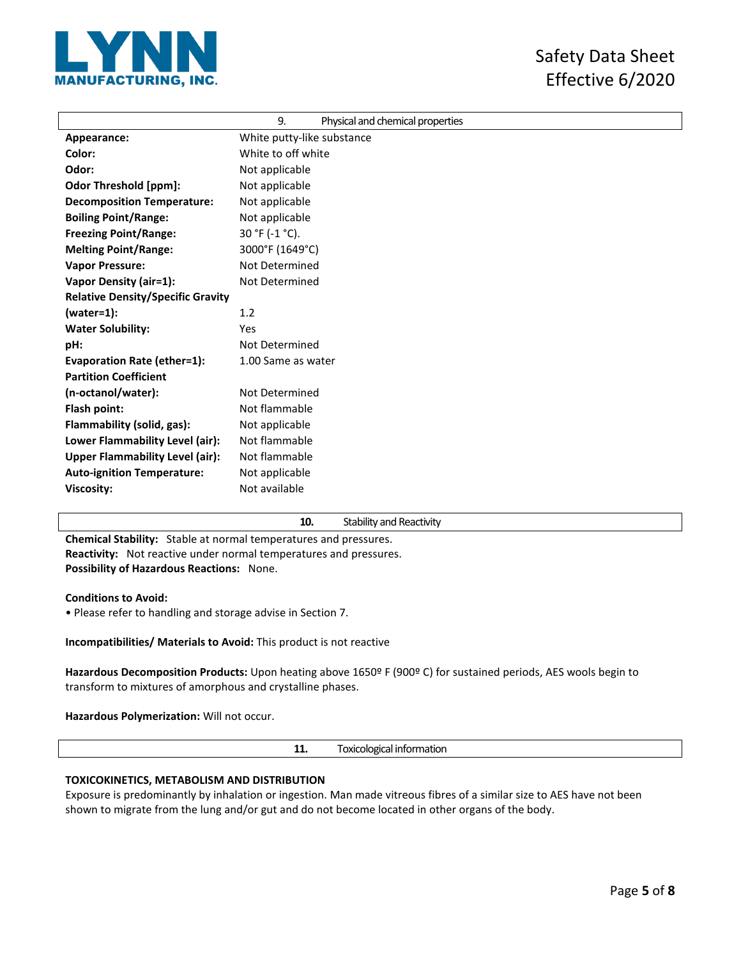

|                                          | 9.<br>Physical and chemical properties |
|------------------------------------------|----------------------------------------|
| Appearance:                              | White putty-like substance             |
| Color:                                   | White to off white                     |
| Odor:                                    | Not applicable                         |
| <b>Odor Threshold [ppm]:</b>             | Not applicable                         |
| <b>Decomposition Temperature:</b>        | Not applicable                         |
| <b>Boiling Point/Range:</b>              | Not applicable                         |
| <b>Freezing Point/Range:</b>             | 30 °F (-1 °C).                         |
| <b>Melting Point/Range:</b>              | 3000°F (1649°C)                        |
| <b>Vapor Pressure:</b>                   | Not Determined                         |
| <b>Vapor Density (air=1):</b>            | Not Determined                         |
| <b>Relative Density/Specific Gravity</b> |                                        |
| $(water=1):$                             | 1.2                                    |
| <b>Water Solubility:</b>                 | Yes                                    |
| pH:                                      | Not Determined                         |
| Evaporation Rate (ether=1):              | 1.00 Same as water                     |
| <b>Partition Coefficient</b>             |                                        |
| (n-octanol/water):                       | Not Determined                         |
| Flash point:                             | Not flammable                          |
| Flammability (solid, gas):               | Not applicable                         |
| Lower Flammability Level (air):          | Not flammable                          |
| <b>Upper Flammability Level (air):</b>   | Not flammable                          |
| <b>Auto-ignition Temperature:</b>        | Not applicable                         |
| <b>Viscosity:</b>                        | Not available                          |

# **10.** Stability and Reactivity

**Chemical Stability:** Stable at normal temperatures and pressures. **Reactivity:** Not reactive under normal temperatures and pressures. **Possibility of Hazardous Reactions:** None.

# **Conditions to Avoid:**

• Please refer to handling and storage advise in Section 7.

**Incompatibilities/ Materials to Avoid:** This product is not reactive

**Hazardous Decomposition Products:** Upon heating above 1650º F (900º C) for sustained periods, AES wools begin to transform to mixtures of amorphous and crystalline phases.

**Hazardous Polymerization:** Will not occur.

**11.** Toxicological information

# **TOXICOKINETICS, METABOLISM AND DISTRIBUTION**

Exposure is predominantly by inhalation or ingestion. Man made vitreous fibres of a similar size to AES have not been shown to migrate from the lung and/or gut and do not become located in other organs of the body.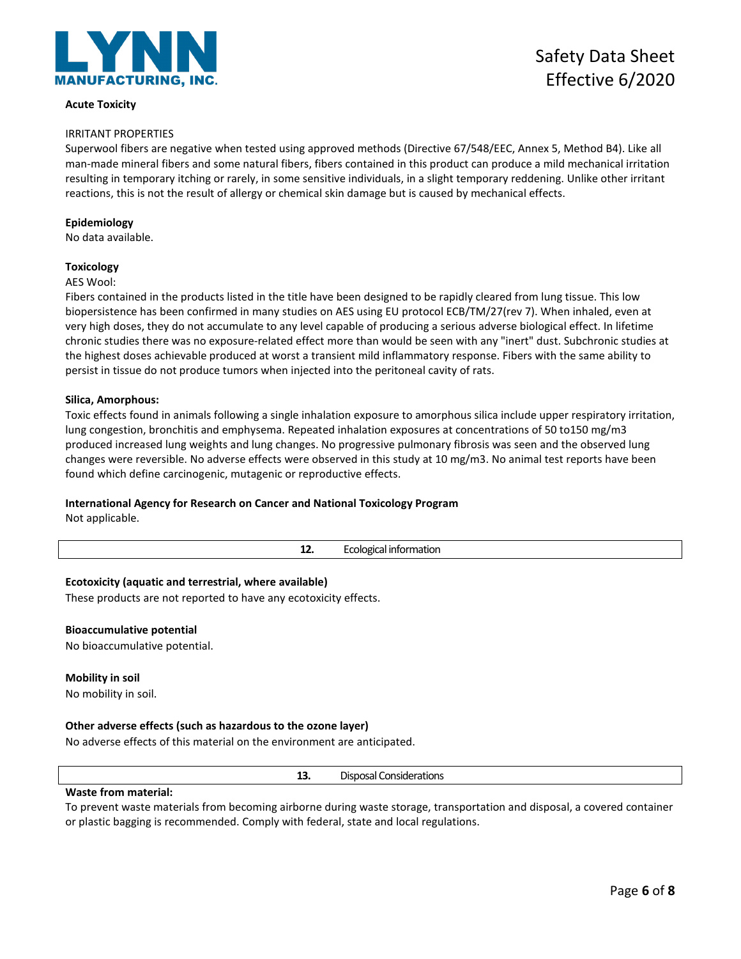

# **Acute Toxicity**

# IRRITANT PROPERTIES

Superwool fibers are negative when tested using approved methods (Directive 67/548/EEC, Annex 5, Method B4). Like all man-made mineral fibers and some natural fibers, fibers contained in this product can produce a mild mechanical irritation resulting in temporary itching or rarely, in some sensitive individuals, in a slight temporary reddening. Unlike other irritant reactions, this is not the result of allergy or chemical skin damage but is caused by mechanical effects.

# **Epidemiology**

No data available.

# **Toxicology**

#### AES Wool:

Fibers contained in the products listed in the title have been designed to be rapidly cleared from lung tissue. This low biopersistence has been confirmed in many studies on AES using EU protocol ECB/TM/27(rev 7). When inhaled, even at very high doses, they do not accumulate to any level capable of producing a serious adverse biological effect. In lifetime chronic studies there was no exposure-related effect more than would be seen with any "inert" dust. Subchronic studies at the highest doses achievable produced at worst a transient mild inflammatory response. Fibers with the same ability to persist in tissue do not produce tumors when injected into the peritoneal cavity of rats.

# **Silica, Amorphous:**

Toxic effects found in animals following a single inhalation exposure to amorphous silica include upper respiratory irritation, lung congestion, bronchitis and emphysema. Repeated inhalation exposures at concentrations of 50 to150 mg/m3 produced increased lung weights and lung changes. No progressive pulmonary fibrosis was seen and the observed lung changes were reversible. No adverse effects were observed in this study at 10 mg/m3. No animal test reports have been found which define carcinogenic, mutagenic or reproductive effects.

# **International Agency for Research on Cancer and National Toxicology Program**

Not applicable.

|                                                                  | 12. | Ecological information |
|------------------------------------------------------------------|-----|------------------------|
| Ecotoxicity (aquatic and terrestrial, where available)           |     |                        |
| These products are not reported to have any ecotoxicity effects. |     |                        |
| <b>Bioaccumulative potential</b>                                 |     |                        |
| No bioaccumulative potential.                                    |     |                        |
| <b>Mobility in soil</b>                                          |     |                        |
| No mobility in soil.                                             |     |                        |
|                                                                  |     |                        |

# **Other adverse effects (such as hazardous to the ozone layer)**

No adverse effects of this material on the environment are anticipated.

|  |  | <b>Disposal Considerations</b> |
|--|--|--------------------------------|
|--|--|--------------------------------|

**Waste from material:**

To prevent waste materials from becoming airborne during waste storage, transportation and disposal, a covered container or plastic bagging is recommended. Comply with federal, state and local regulations.

Safety Data Sheet Effective 6/2020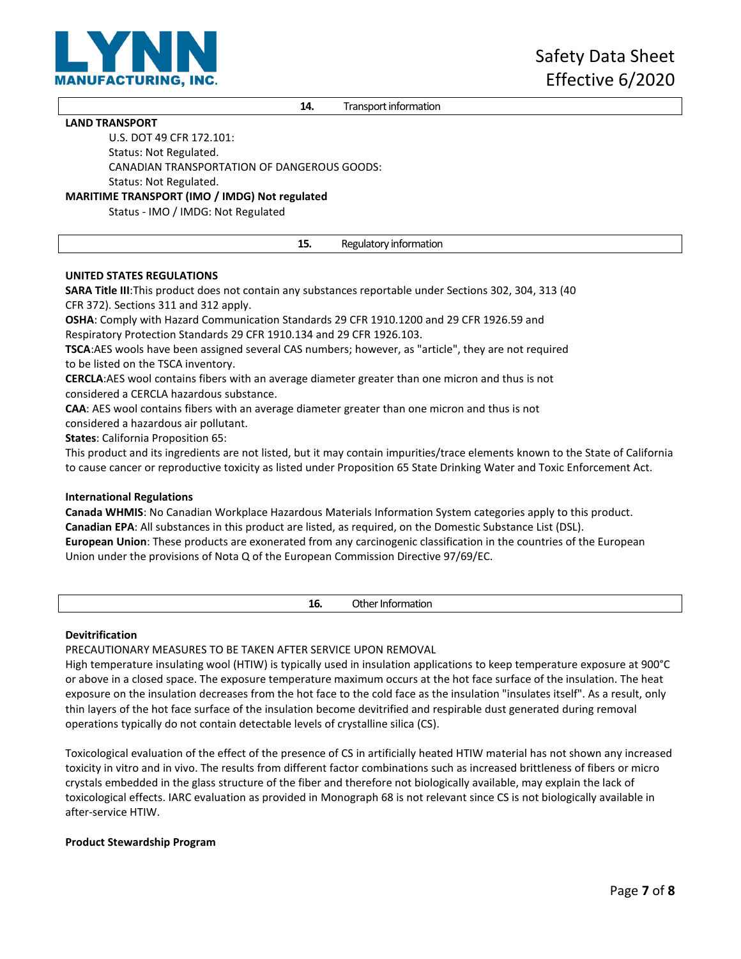

**14.** Transport information

# **LAND TRANSPORT**

U.S. DOT 49 CFR 172.101:

Status: Not Regulated.

CANADIAN TRANSPORTATION OF DANGEROUS GOODS:

Status: Not Regulated.

**MARITIME TRANSPORT (IMO / IMDG) Not regulated**

Status - IMO / IMDG: Not Regulated

**15.** Regulatory information

# **UNITED STATES REGULATIONS**

**SARA Title III**:This product does not contain any substances reportable under Sections 302, 304, 313 (40 CFR 372). Sections 311 and 312 apply.

**OSHA**: Comply with Hazard Communication Standards 29 CFR 1910.1200 and 29 CFR 1926.59 and Respiratory Protection Standards 29 CFR 1910.134 and 29 CFR 1926.103.

**TSCA**:AES wools have been assigned several CAS numbers; however, as "article", they are not required to be listed on the TSCA inventory.

**CERCLA**:AES wool contains fibers with an average diameter greater than one micron and thus is not considered a CERCLA hazardous substance.

**CAA**: AES wool contains fibers with an average diameter greater than one micron and thus is not considered a hazardous air pollutant.

**States**: California Proposition 65:

This product and its ingredients are not listed, but it may contain impurities/trace elements known to the State of California to cause cancer or reproductive toxicity as listed under Proposition 65 State Drinking Water and Toxic Enforcement Act.

# **International Regulations**

**Canada WHMIS**: No Canadian Workplace Hazardous Materials Information System categories apply to this product. **Canadian EPA**: All substances in this product are listed, as required, on the Domestic Substance List (DSL). **European Union**: These products are exonerated from any carcinogenic classification in the countries of the European Union under the provisions of Nota Q of the European Commission Directive 97/69/EC.

**16.** Other Information

# **Devitrification**

PRECAUTIONARY MEASURES TO BE TAKEN AFTER SERVICE UPON REMOVAL

High temperature insulating wool (HTIW) is typically used in insulation applications to keep temperature exposure at 900°C or above in a closed space. The exposure temperature maximum occurs at the hot face surface of the insulation. The heat exposure on the insulation decreases from the hot face to the cold face as the insulation "insulates itself". As a result, only thin layers of the hot face surface of the insulation become devitrified and respirable dust generated during removal operations typically do not contain detectable levels of crystalline silica (CS).

Toxicological evaluation of the effect of the presence of CS in artificially heated HTIW material has not shown any increased toxicity in vitro and in vivo. The results from different factor combinations such as increased brittleness of fibers or micro crystals embedded in the glass structure of the fiber and therefore not biologically available, may explain the lack of toxicological effects. IARC evaluation as provided in Monograph 68 is not relevant since CS is not biologically available in after-service HTIW.

# **Product Stewardship Program**